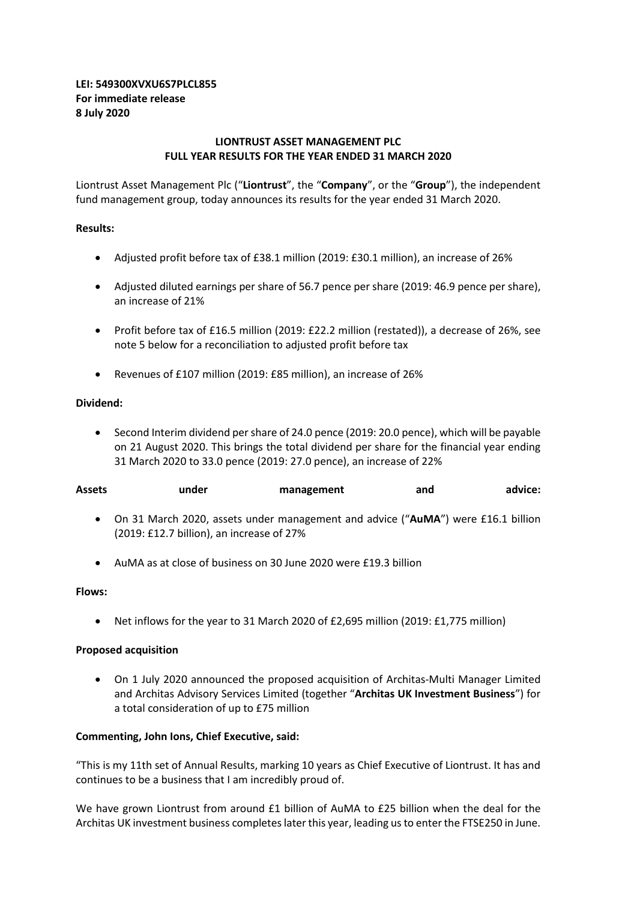## **LEI: 549300XVXU6S7PLCL855 For immediate release 8 July 2020**

## **LIONTRUST ASSET MANAGEMENT PLC FULL YEAR RESULTS FOR THE YEAR ENDED 31 MARCH 2020**

Liontrust Asset Management Plc ("**Liontrust**", the "**Company**", or the "**Group**"), the independent fund management group, today announces its results for the year ended 31 March 2020.

## **Results:**

- Adjusted profit before tax of £38.1 million (2019: £30.1 million), an increase of 26%
- Adjusted diluted earnings per share of 56.7 pence per share (2019: 46.9 pence per share), an increase of 21%
- Profit before tax of £16.5 million (2019: £22.2 million (restated)), a decrease of 26%, see note 5 below for a reconciliation to adjusted profit before tax
- Revenues of £107 million (2019: £85 million), an increase of 26%

### **Dividend:**

• Second Interim dividend per share of 24.0 pence (2019: 20.0 pence), which will be payable on 21 August 2020. This brings the total dividend per share for the financial year ending 31 March 2020 to 33.0 pence (2019: 27.0 pence), an increase of 22%

| Assets | under | management | and | advice: |
|--------|-------|------------|-----|---------|
|        |       |            |     |         |

- On 31 March 2020, assets under management and advice ("**AuMA**") were £16.1 billion (2019: £12.7 billion), an increase of 27%
- AuMA as at close of business on 30 June 2020 were £19.3 billion

### **Flows:**

• Net inflows for the year to 31 March 2020 of £2,695 million (2019: £1,775 million)

## **Proposed acquisition**

• On 1 July 2020 announced the proposed acquisition of Architas-Multi Manager Limited and Architas Advisory Services Limited (together "**Architas UK Investment Business**") for a total consideration of up to £75 million

## **Commenting, John Ions, Chief Executive, said:**

"This is my 11th set of Annual Results, marking 10 years as Chief Executive of Liontrust. It has and continues to be a business that I am incredibly proud of.

We have grown Liontrust from around £1 billion of AuMA to £25 billion when the deal for the Architas UK investment business completes later this year, leading us to enter the FTSE250 in June.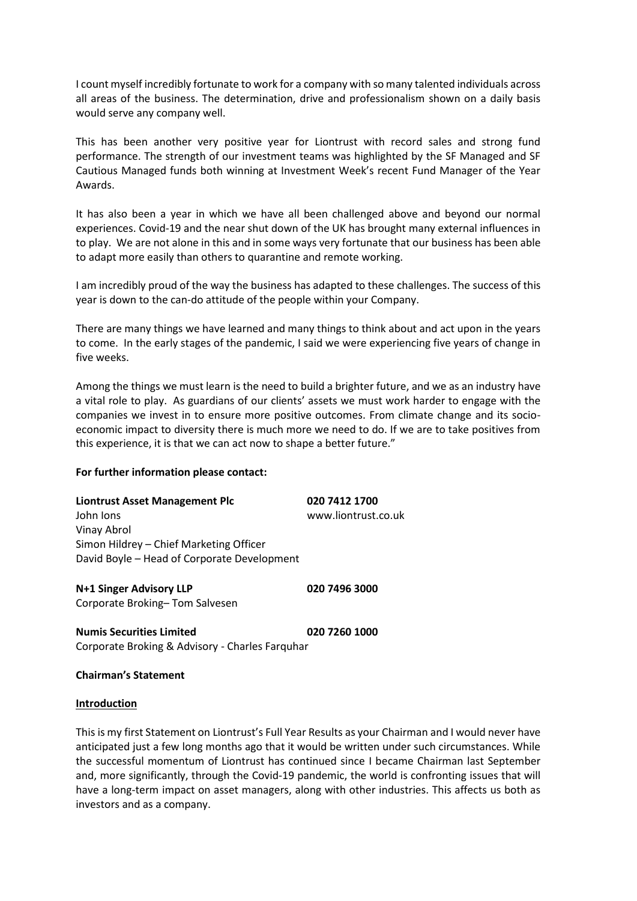I count myself incredibly fortunate to work for a company with so many talented individuals across all areas of the business. The determination, drive and professionalism shown on a daily basis would serve any company well.

This has been another very positive year for Liontrust with record sales and strong fund performance. The strength of our investment teams was highlighted by the SF Managed and SF Cautious Managed funds both winning at Investment Week's recent Fund Manager of the Year Awards.

It has also been a year in which we have all been challenged above and beyond our normal experiences. Covid-19 and the near shut down of the UK has brought many external influences in to play. We are not alone in this and in some ways very fortunate that our business has been able to adapt more easily than others to quarantine and remote working.

I am incredibly proud of the way the business has adapted to these challenges. The success of this year is down to the can-do attitude of the people within your Company.

There are many things we have learned and many things to think about and act upon in the years to come. In the early stages of the pandemic, I said we were experiencing five years of change in five weeks.

Among the things we must learn is the need to build a brighter future, and we as an industry have a vital role to play. As guardians of our clients' assets we must work harder to engage with the companies we invest in to ensure more positive outcomes. From climate change and its socioeconomic impact to diversity there is much more we need to do. If we are to take positives from this experience, it is that we can act now to shape a better future."

### **For further information please contact:**

| Liontrust Asset Management Plc              | 020 7412 1700       |
|---------------------------------------------|---------------------|
| John Jons                                   | www.liontrust.co.uk |
| Vinay Abrol                                 |                     |
| Simon Hildrey - Chief Marketing Officer     |                     |
| David Boyle - Head of Corporate Development |                     |
|                                             |                     |

**N+1 Singer Advisory LLP 020 7496 3000** Corporate Broking– Tom Salvesen

**Numis Securities Limited 020 7260 1000** Corporate Broking & Advisory - Charles Farquhar

**Chairman's Statement**

### **Introduction**

This is my first Statement on Liontrust's Full Year Results as your Chairman and I would never have anticipated just a few long months ago that it would be written under such circumstances. While the successful momentum of Liontrust has continued since I became Chairman last September and, more significantly, through the Covid-19 pandemic, the world is confronting issues that will have a long-term impact on asset managers, along with other industries. This affects us both as investors and as a company.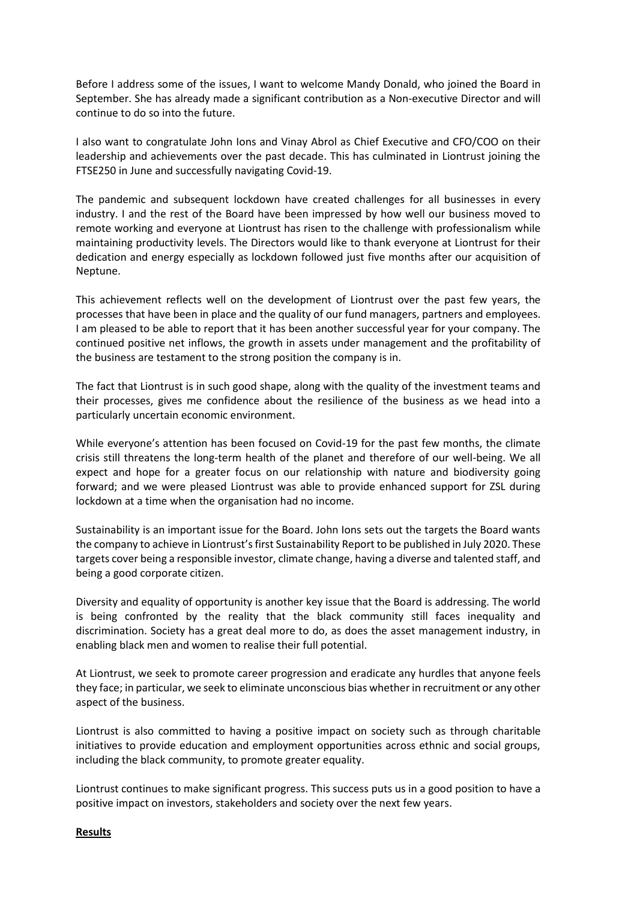Before I address some of the issues, I want to welcome Mandy Donald, who joined the Board in September. She has already made a significant contribution as a Non-executive Director and will continue to do so into the future.

I also want to congratulate John Ions and Vinay Abrol as Chief Executive and CFO/COO on their leadership and achievements over the past decade. This has culminated in Liontrust joining the FTSE250 in June and successfully navigating Covid-19.

The pandemic and subsequent lockdown have created challenges for all businesses in every industry. I and the rest of the Board have been impressed by how well our business moved to remote working and everyone at Liontrust has risen to the challenge with professionalism while maintaining productivity levels. The Directors would like to thank everyone at Liontrust for their dedication and energy especially as lockdown followed just five months after our acquisition of Neptune.

This achievement reflects well on the development of Liontrust over the past few years, the processes that have been in place and the quality of our fund managers, partners and employees. I am pleased to be able to report that it has been another successful year for your company. The continued positive net inflows, the growth in assets under management and the profitability of the business are testament to the strong position the company is in.

The fact that Liontrust is in such good shape, along with the quality of the investment teams and their processes, gives me confidence about the resilience of the business as we head into a particularly uncertain economic environment.

While everyone's attention has been focused on Covid-19 for the past few months, the climate crisis still threatens the long-term health of the planet and therefore of our well-being. We all expect and hope for a greater focus on our relationship with nature and biodiversity going forward; and we were pleased Liontrust was able to provide enhanced support for ZSL during lockdown at a time when the organisation had no income.

Sustainability is an important issue for the Board. John Ions sets out the targets the Board wants the company to achieve in Liontrust's first Sustainability Report to be published in July 2020. These targets cover being a responsible investor, climate change, having a diverse and talented staff, and being a good corporate citizen.

Diversity and equality of opportunity is another key issue that the Board is addressing. The world is being confronted by the reality that the black community still faces inequality and discrimination. Society has a great deal more to do, as does the asset management industry, in enabling black men and women to realise their full potential.

At Liontrust, we seek to promote career progression and eradicate any hurdles that anyone feels they face; in particular, we seek to eliminate unconscious bias whether in recruitment or any other aspect of the business.

Liontrust is also committed to having a positive impact on society such as through charitable initiatives to provide education and employment opportunities across ethnic and social groups, including the black community, to promote greater equality.

Liontrust continues to make significant progress. This success puts us in a good position to have a positive impact on investors, stakeholders and society over the next few years.

### **Results**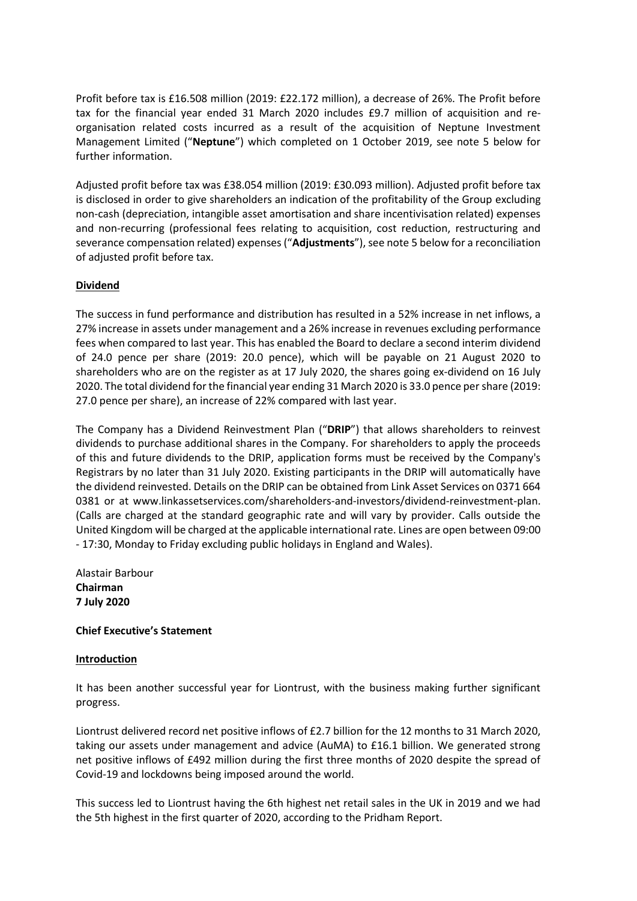Profit before tax is £16.508 million (2019: £22.172 million), a decrease of 26%. The Profit before tax for the financial year ended 31 March 2020 includes £9.7 million of acquisition and reorganisation related costs incurred as a result of the acquisition of Neptune Investment Management Limited ("**Neptune**") which completed on 1 October 2019, see note 5 below for further information.

Adjusted profit before tax was £38.054 million (2019: £30.093 million). Adjusted profit before tax is disclosed in order to give shareholders an indication of the profitability of the Group excluding non-cash (depreciation, intangible asset amortisation and share incentivisation related) expenses and non-recurring (professional fees relating to acquisition, cost reduction, restructuring and severance compensation related) expenses ("**Adjustments**"), see note 5 below for a reconciliation of adjusted profit before tax.

## **Dividend**

The success in fund performance and distribution has resulted in a 52% increase in net inflows, a 27% increase in assets under management and a 26% increase in revenues excluding performance fees when compared to last year. This has enabled the Board to declare a second interim dividend of 24.0 pence per share (2019: 20.0 pence), which will be payable on 21 August 2020 to shareholders who are on the register as at 17 July 2020, the shares going ex-dividend on 16 July 2020. The total dividend for the financial year ending 31 March 2020 is 33.0 pence per share (2019: 27.0 pence per share), an increase of 22% compared with last year.

The Company has a Dividend Reinvestment Plan ("**DRIP**") that allows shareholders to reinvest dividends to purchase additional shares in the Company. For shareholders to apply the proceeds of this and future dividends to the DRIP, application forms must be received by the Company's Registrars by no later than 31 July 2020. Existing participants in the DRIP will automatically have the dividend reinvested. Details on the DRIP can be obtained from Link Asset Services on 0371 664 0381 or at www.linkassetservices.com/shareholders-and-investors/dividend-reinvestment-plan. (Calls are charged at the standard geographic rate and will vary by provider. Calls outside the United Kingdom will be charged at the applicable international rate. Lines are open between 09:00 - 17:30, Monday to Friday excluding public holidays in England and Wales).

Alastair Barbour **Chairman 7 July 2020**

## **Chief Executive's Statement**

## **Introduction**

It has been another successful year for Liontrust, with the business making further significant progress.

Liontrust delivered record net positive inflows of £2.7 billion for the 12 months to 31 March 2020, taking our assets under management and advice (AuMA) to £16.1 billion. We generated strong net positive inflows of £492 million during the first three months of 2020 despite the spread of Covid-19 and lockdowns being imposed around the world.

This success led to Liontrust having the 6th highest net retail sales in the UK in 2019 and we had the 5th highest in the first quarter of 2020, according to the Pridham Report.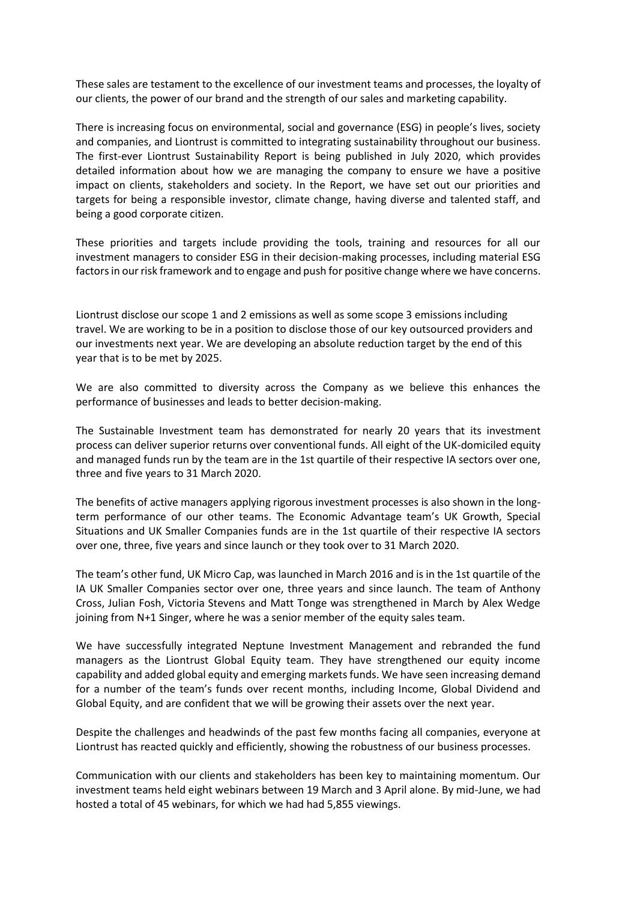These sales are testament to the excellence of our investment teams and processes, the loyalty of our clients, the power of our brand and the strength of our sales and marketing capability.

There is increasing focus on environmental, social and governance (ESG) in people's lives, society and companies, and Liontrust is committed to integrating sustainability throughout our business. The first-ever Liontrust Sustainability Report is being published in July 2020, which provides detailed information about how we are managing the company to ensure we have a positive impact on clients, stakeholders and society. In the Report, we have set out our priorities and targets for being a responsible investor, climate change, having diverse and talented staff, and being a good corporate citizen.

These priorities and targets include providing the tools, training and resources for all our investment managers to consider ESG in their decision-making processes, including material ESG factors in our risk framework and to engage and push for positive change where we have concerns.

Liontrust disclose our scope 1 and 2 emissions as well as some scope 3 emissions including travel. We are working to be in a position to disclose those of our key outsourced providers and our investments next year. We are developing an absolute reduction target by the end of this year that is to be met by 2025.

We are also committed to diversity across the Company as we believe this enhances the performance of businesses and leads to better decision-making.

The Sustainable Investment team has demonstrated for nearly 20 years that its investment process can deliver superior returns over conventional funds. All eight of the UK-domiciled equity and managed funds run by the team are in the 1st quartile of their respective IA sectors over one, three and five years to 31 March 2020.

The benefits of active managers applying rigorous investment processes is also shown in the longterm performance of our other teams. The Economic Advantage team's UK Growth, Special Situations and UK Smaller Companies funds are in the 1st quartile of their respective IA sectors over one, three, five years and since launch or they took over to 31 March 2020.

The team's other fund, UK Micro Cap, was launched in March 2016 and is in the 1st quartile of the IA UK Smaller Companies sector over one, three years and since launch. The team of Anthony Cross, Julian Fosh, Victoria Stevens and Matt Tonge was strengthened in March by Alex Wedge joining from N+1 Singer, where he was a senior member of the equity sales team.

We have successfully integrated Neptune Investment Management and rebranded the fund managers as the Liontrust Global Equity team. They have strengthened our equity income capability and added global equity and emerging markets funds. We have seen increasing demand for a number of the team's funds over recent months, including Income, Global Dividend and Global Equity, and are confident that we will be growing their assets over the next year.

Despite the challenges and headwinds of the past few months facing all companies, everyone at Liontrust has reacted quickly and efficiently, showing the robustness of our business processes.

Communication with our clients and stakeholders has been key to maintaining momentum. Our investment teams held eight webinars between 19 March and 3 April alone. By mid-June, we had hosted a total of 45 webinars, for which we had had 5,855 viewings.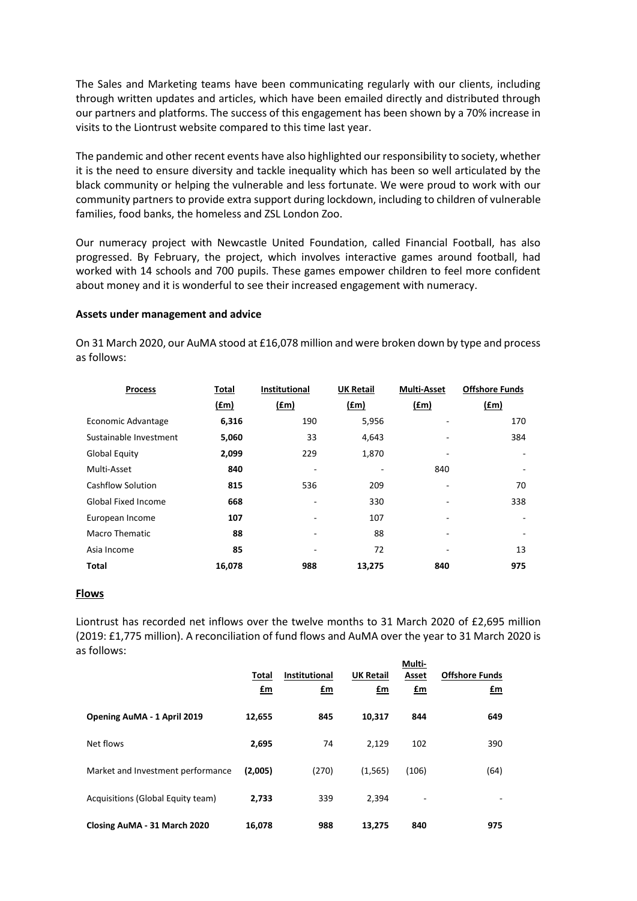The Sales and Marketing teams have been communicating regularly with our clients, including through written updates and articles, which have been emailed directly and distributed through our partners and platforms. The success of this engagement has been shown by a 70% increase in visits to the Liontrust website compared to this time last year.

The pandemic and other recent events have also highlighted our responsibility to society, whether it is the need to ensure diversity and tackle inequality which has been so well articulated by the black community or helping the vulnerable and less fortunate. We were proud to work with our community partners to provide extra support during lockdown, including to children of vulnerable families, food banks, the homeless and ZSL London Zoo.

Our numeracy project with Newcastle United Foundation, called Financial Football, has also progressed. By February, the project, which involves interactive games around football, had worked with 14 schools and 700 pupils. These games empower children to feel more confident about money and it is wonderful to see their increased engagement with numeracy.

### **Assets under management and advice**

On 31 March 2020, our AuMA stood at £16,078 million and were broken down by type and process as follows:

| <b>Process</b>             | Total  | <b>Institutional</b>     | <b>UK Retail</b> | <b>Multi-Asset</b> | <b>Offshore Funds</b> |
|----------------------------|--------|--------------------------|------------------|--------------------|-----------------------|
|                            | f(m)   | (fm)                     | $(\text{fm})$    | $(\text{fm})$      | (f.m)                 |
| Economic Advantage         | 6,316  | 190                      | 5,956            |                    | 170                   |
| Sustainable Investment     | 5,060  | 33                       | 4,643            |                    | 384                   |
| <b>Global Equity</b>       | 2,099  | 229                      | 1,870            | ٠                  |                       |
| Multi-Asset                | 840    | $\overline{a}$           |                  | 840                |                       |
| <b>Cashflow Solution</b>   | 815    | 536                      | 209              |                    | 70                    |
| <b>Global Fixed Income</b> | 668    | $\overline{\phantom{0}}$ | 330              |                    | 338                   |
| European Income            | 107    | $\overline{a}$           | 107              |                    | ٠                     |
| <b>Macro Thematic</b>      | 88     | $\overline{a}$           | 88               | ٠                  |                       |
| Asia Income                | 85     | -                        | 72               |                    | 13                    |
| Total                      | 16,078 | 988                      | 13,275           | 840                | 975                   |

### **Flows**

Liontrust has recorded net inflows over the twelve months to 31 March 2020 of £2,695 million (2019: £1,775 million). A reconciliation of fund flows and AuMA over the year to 31 March 2020 is as follows:

|                                   | Total<br>$\mathbf{f}$ m | <b>Institutional</b><br>£m | <b>UK Retail</b><br>£m | Multi-<br>Asset<br>$\mathbf{f}$ m | <b>Offshore Funds</b><br>$fm$ |
|-----------------------------------|-------------------------|----------------------------|------------------------|-----------------------------------|-------------------------------|
| Opening AuMA - 1 April 2019       | 12,655                  | 845                        | 10.317                 | 844                               | 649                           |
| Net flows                         | 2,695                   | 74                         | 2,129                  | 102                               | 390                           |
| Market and Investment performance | (2,005)                 | (270)                      | (1, 565)               | (106)                             | (64)                          |
| Acquisitions (Global Equity team) | 2.733                   | 339                        | 2,394                  |                                   | $\overline{\phantom{a}}$      |
| Closing AuMA - 31 March 2020      | 16,078                  | 988                        | 13.275                 | 840                               | 975                           |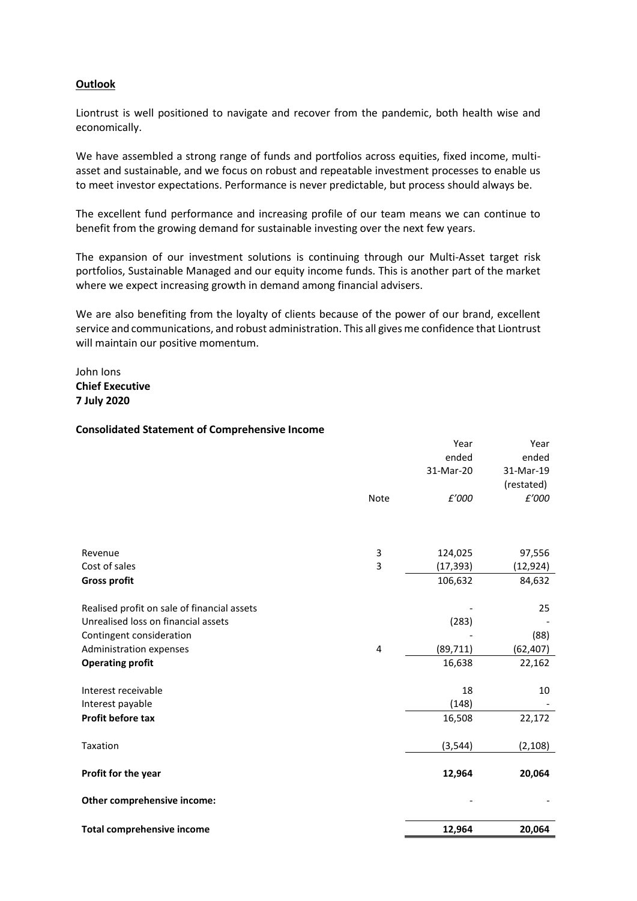## **Outlook**

Liontrust is well positioned to navigate and recover from the pandemic, both health wise and economically.

We have assembled a strong range of funds and portfolios across equities, fixed income, multiasset and sustainable, and we focus on robust and repeatable investment processes to enable us to meet investor expectations. Performance is never predictable, but process should always be.

The excellent fund performance and increasing profile of our team means we can continue to benefit from the growing demand for sustainable investing over the next few years.

The expansion of our investment solutions is continuing through our Multi-Asset target risk portfolios, Sustainable Managed and our equity income funds. This is another part of the market where we expect increasing growth in demand among financial advisers.

We are also benefiting from the loyalty of clients because of the power of our brand, excellent service and communications, and robust administration. This all gives me confidence that Liontrust will maintain our positive momentum.

John Ions **Chief Executive 7 July 2020**

### **Consolidated Statement of Comprehensive Income**

| Profit before tax                           |             | 16,508               | 22,172                  |
|---------------------------------------------|-------------|----------------------|-------------------------|
| Interest receivable<br>Interest payable     |             | 18<br>(148)          | 10                      |
| <b>Operating profit</b>                     |             | 16,638               | 22,162                  |
| Administration expenses                     | 4           | (89, 711)            | (62, 407)               |
| Contingent consideration                    |             |                      | (88)                    |
| Unrealised loss on financial assets         |             | (283)                |                         |
| Realised profit on sale of financial assets |             |                      | 25                      |
| <b>Gross profit</b>                         |             | 106,632              | 84,632                  |
| Revenue<br>Cost of sales                    | 3<br>3      | 124,025<br>(17, 393) | 97,556<br>(12, 924)     |
|                                             |             |                      |                         |
|                                             | <b>Note</b> | £'000                | £'000                   |
|                                             |             | 31-Mar-20            | 31-Mar-19<br>(restated) |
|                                             |             | ended                | ended                   |
|                                             |             | Year                 | Year                    |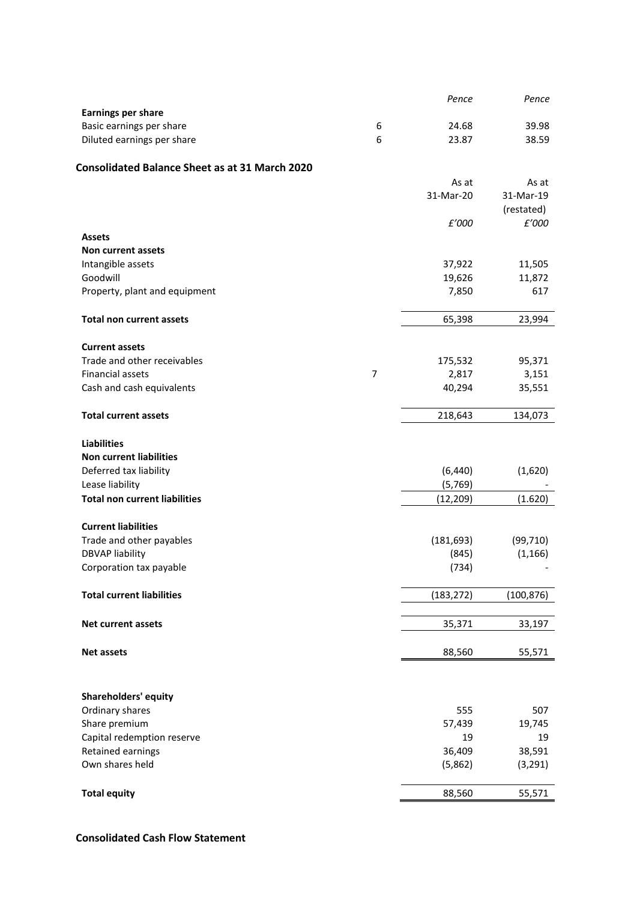|                                                       |                | Pence      | Pence      |
|-------------------------------------------------------|----------------|------------|------------|
| <b>Earnings per share</b>                             |                |            |            |
| Basic earnings per share                              | 6              | 24.68      | 39.98      |
| Diluted earnings per share                            | 6              | 23.87      | 38.59      |
| <b>Consolidated Balance Sheet as at 31 March 2020</b> |                |            |            |
|                                                       |                | As at      | As at      |
|                                                       |                | 31-Mar-20  | 31-Mar-19  |
|                                                       |                |            | (restated) |
|                                                       |                | £'000      | £'000      |
| <b>Assets</b>                                         |                |            |            |
| Non current assets                                    |                |            |            |
| Intangible assets                                     |                | 37,922     | 11,505     |
| Goodwill                                              |                | 19,626     | 11,872     |
| Property, plant and equipment                         |                | 7,850      | 617        |
|                                                       |                |            |            |
| <b>Total non current assets</b>                       |                | 65,398     | 23,994     |
| <b>Current assets</b>                                 |                |            |            |
| Trade and other receivables                           |                | 175,532    | 95,371     |
| <b>Financial assets</b>                               | $\overline{7}$ | 2,817      | 3,151      |
| Cash and cash equivalents                             |                | 40,294     | 35,551     |
|                                                       |                |            |            |
| <b>Total current assets</b>                           |                | 218,643    | 134,073    |
|                                                       |                |            |            |
| <b>Liabilities</b>                                    |                |            |            |
| <b>Non current liabilities</b>                        |                |            |            |
| Deferred tax liability                                |                | (6, 440)   | (1,620)    |
| Lease liability                                       |                | (5,769)    |            |
| <b>Total non current liabilities</b>                  |                | (12, 209)  | (1.620)    |
| <b>Current liabilities</b>                            |                |            |            |
| Trade and other payables                              |                | (181, 693) | (99, 710)  |
| <b>DBVAP liability</b>                                |                | (845)      | (1, 166)   |
| Corporation tax payable                               |                | (734)      |            |
|                                                       |                |            |            |
| <b>Total current liabilities</b>                      |                | (183, 272) | (100, 876) |
|                                                       |                |            |            |
| <b>Net current assets</b>                             |                | 35,371     | 33,197     |
| <b>Net assets</b>                                     |                | 88,560     | 55,571     |
|                                                       |                |            |            |
|                                                       |                |            |            |
| <b>Shareholders' equity</b>                           |                |            |            |
| Ordinary shares                                       |                | 555        | 507        |
| Share premium                                         |                | 57,439     | 19,745     |
| Capital redemption reserve                            |                | 19         | 19         |
| Retained earnings                                     |                | 36,409     | 38,591     |
| Own shares held                                       |                | (5,862)    | (3, 291)   |
|                                                       |                |            |            |
| <b>Total equity</b>                                   |                | 88,560     | 55,571     |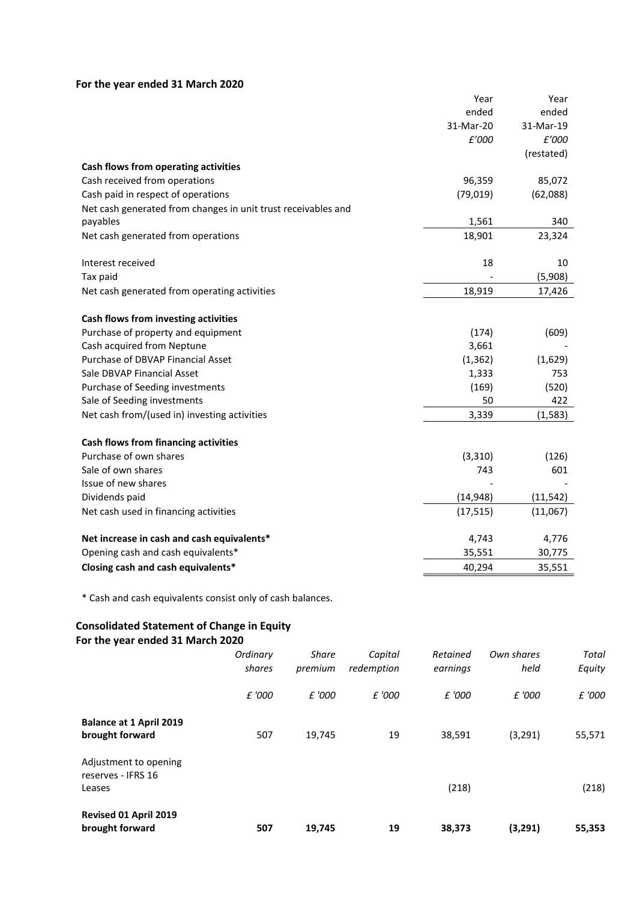# **For the year ended 31 March 2020**

|                                                               | Year      | Year       |
|---------------------------------------------------------------|-----------|------------|
|                                                               | ended     | ended      |
|                                                               | 31-Mar-20 | 31-Mar-19  |
|                                                               | £'000     | £'000      |
|                                                               |           | (restated) |
| Cash flows from operating activities                          |           |            |
| Cash received from operations                                 | 96,359    | 85,072     |
| Cash paid in respect of operations                            | (79, 019) | (62,088)   |
| Net cash generated from changes in unit trust receivables and |           |            |
| payables                                                      | 1,561     | 340        |
| Net cash generated from operations                            | 18,901    | 23,324     |
| Interest received                                             | 18        | 10         |
| Tax paid                                                      |           | (5,908)    |
| Net cash generated from operating activities                  | 18,919    | 17,426     |
| Cash flows from investing activities                          |           |            |
| Purchase of property and equipment                            | (174)     | (609)      |
| Cash acquired from Neptune                                    | 3,661     |            |
| Purchase of DBVAP Financial Asset                             | (1, 362)  | (1,629)    |
| Sale DBVAP Financial Asset                                    | 1,333     | 753        |
| Purchase of Seeding investments                               | (169)     | (520)      |
| Sale of Seeding investments                                   | 50        | 422        |
| Net cash from/(used in) investing activities                  | 3,339     | (1, 583)   |
| <b>Cash flows from financing activities</b>                   |           |            |
| Purchase of own shares                                        | (3, 310)  | (126)      |
| Sale of own shares                                            | 743       | 601        |
| Issue of new shares                                           |           |            |
| Dividends paid                                                | (14, 948) | (11, 542)  |
| Net cash used in financing activities                         | (17, 515) | (11,067)   |
| Net increase in cash and cash equivalents*                    | 4,743     | 4,776      |
| Opening cash and cash equivalents*                            | 35,551    | 30,775     |
| Closing cash and cash equivalents*                            | 40,294    | 35,551     |

\* Cash and cash equivalents consist only of cash balances.

## **Consolidated Statement of Change in Equity For the year ended 31 March 2020**

|                                                       | Ordinary<br>shares | <b>Share</b><br>premium | Capital<br>redemption | Retained<br>earnings | Own shares<br>held | Total<br>Equity |
|-------------------------------------------------------|--------------------|-------------------------|-----------------------|----------------------|--------------------|-----------------|
|                                                       | £ '000             | £ '000                  | £ '000                | £ '000               | £ '000             | £ '000          |
| <b>Balance at 1 April 2019</b><br>brought forward     | 507                | 19,745                  | 19                    | 38,591               | (3,291)            | 55,571          |
| Adjustment to opening<br>reserves - IFRS 16<br>Leases |                    |                         |                       | (218)                |                    | (218)           |
| Revised 01 April 2019<br>brought forward              | 507                | 19,745                  | 19                    | 38,373               | (3,291)            | 55,353          |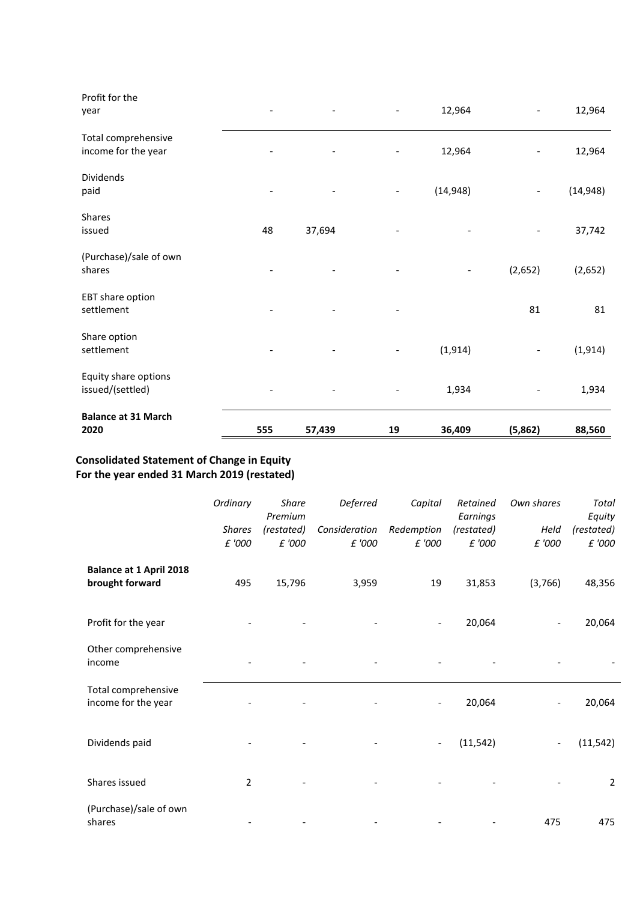| Profit for the<br>year                     |     |        |                          | 12,964    |                          | 12,964    |
|--------------------------------------------|-----|--------|--------------------------|-----------|--------------------------|-----------|
| Total comprehensive<br>income for the year |     |        |                          | 12,964    |                          | 12,964    |
| <b>Dividends</b><br>paid                   |     |        |                          | (14, 948) | $\overline{\phantom{a}}$ | (14, 948) |
| Shares<br>issued                           | 48  | 37,694 |                          |           |                          | 37,742    |
| (Purchase)/sale of own<br>shares           |     |        |                          |           | (2,652)                  | (2,652)   |
| EBT share option<br>settlement             |     |        | $\overline{\phantom{a}}$ |           | 81                       | 81        |
| Share option<br>settlement                 |     |        |                          | (1, 914)  |                          | (1, 914)  |
| Equity share options<br>issued/(settled)   |     |        | $\overline{\phantom{a}}$ | 1,934     |                          | 1,934     |
| <b>Balance at 31 March</b><br>2020         | 555 | 57,439 | 19                       | 36,409    | (5,862)                  | 88,560    |

# **Consolidated Statement of Change in Equity For the year ended 31 March 2019 (restated)**

|                                                   | Ordinary<br><b>Shares</b><br>£ '000 | Share<br>Premium<br>(restated)<br>£ '000 | Deferred<br>Consideration<br>£ '000 | Capital<br>Redemption<br>£ '000 | Retained<br>Earnings<br>(restated)<br>£ '000 | Own shares<br>Held<br>£ '000 | Total<br>Equity<br>(restated)<br>£ '000 |
|---------------------------------------------------|-------------------------------------|------------------------------------------|-------------------------------------|---------------------------------|----------------------------------------------|------------------------------|-----------------------------------------|
| <b>Balance at 1 April 2018</b><br>brought forward | 495                                 | 15,796                                   | 3,959                               | 19                              | 31,853                                       | (3,766)                      | 48,356                                  |
| Profit for the year                               |                                     |                                          |                                     |                                 | 20,064                                       |                              | 20,064                                  |
| Other comprehensive<br>income                     |                                     |                                          |                                     |                                 |                                              |                              |                                         |
| Total comprehensive<br>income for the year        |                                     |                                          |                                     |                                 | 20,064                                       |                              | 20,064                                  |
| Dividends paid                                    |                                     |                                          |                                     | $\overline{\phantom{a}}$        | (11, 542)                                    |                              | (11, 542)                               |
| Shares issued                                     | $\overline{2}$                      |                                          |                                     |                                 |                                              |                              | $\overline{2}$                          |
| (Purchase)/sale of own<br>shares                  |                                     |                                          |                                     |                                 |                                              | 475                          | 475                                     |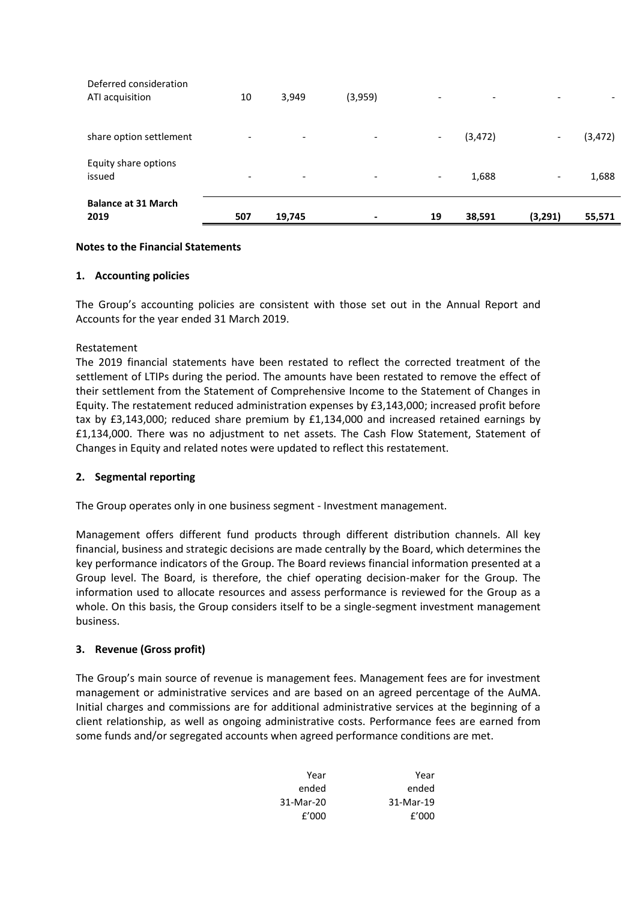| <b>Balance at 31 March</b><br>2019        | 507                      | 19,745                   | $\,$                     | 19                       | 38,591                   | (3, 291)                 | 55,571   |
|-------------------------------------------|--------------------------|--------------------------|--------------------------|--------------------------|--------------------------|--------------------------|----------|
| Equity share options<br>issued            | $\overline{\phantom{0}}$ | $\overline{\phantom{0}}$ | $\overline{\phantom{a}}$ | $\overline{\phantom{a}}$ | 1,688                    | $\overline{\phantom{a}}$ | 1,688    |
| share option settlement                   | $\overline{\phantom{0}}$ | $\overline{\phantom{a}}$ | $\overline{\phantom{a}}$ | $\overline{\phantom{a}}$ | (3, 472)                 | $\overline{\phantom{0}}$ | (3, 472) |
| Deferred consideration<br>ATI acquisition | 10                       | 3,949                    | (3,959)                  | $\overline{\phantom{a}}$ | $\overline{\phantom{0}}$ | $\overline{\phantom{a}}$ |          |

## **Notes to the Financial Statements**

## **1. Accounting policies**

The Group's accounting policies are consistent with those set out in the Annual Report and Accounts for the year ended 31 March 2019.

### Restatement

The 2019 financial statements have been restated to reflect the corrected treatment of the settlement of LTIPs during the period. The amounts have been restated to remove the effect of their settlement from the Statement of Comprehensive Income to the Statement of Changes in Equity. The restatement reduced administration expenses by £3,143,000; increased profit before tax by £3,143,000; reduced share premium by £1,134,000 and increased retained earnings by £1,134,000. There was no adjustment to net assets. The Cash Flow Statement, Statement of Changes in Equity and related notes were updated to reflect this restatement.

## **2. Segmental reporting**

The Group operates only in one business segment - Investment management.

Management offers different fund products through different distribution channels. All key financial, business and strategic decisions are made centrally by the Board, which determines the key performance indicators of the Group. The Board reviews financial information presented at a Group level. The Board, is therefore, the chief operating decision-maker for the Group. The information used to allocate resources and assess performance is reviewed for the Group as a whole. On this basis, the Group considers itself to be a single-segment investment management business.

## **3. Revenue (Gross profit)**

The Group's main source of revenue is management fees. Management fees are for investment management or administrative services and are based on an agreed percentage of the AuMA. Initial charges and commissions are for additional administrative services at the beginning of a client relationship, as well as ongoing administrative costs. Performance fees are earned from some funds and/or segregated accounts when agreed performance conditions are met.

| Year      | Year      |
|-----------|-----------|
| ended     | ended     |
| 31-Mar-19 | 31-Mar-20 |
| f'000     | f'000     |
|           |           |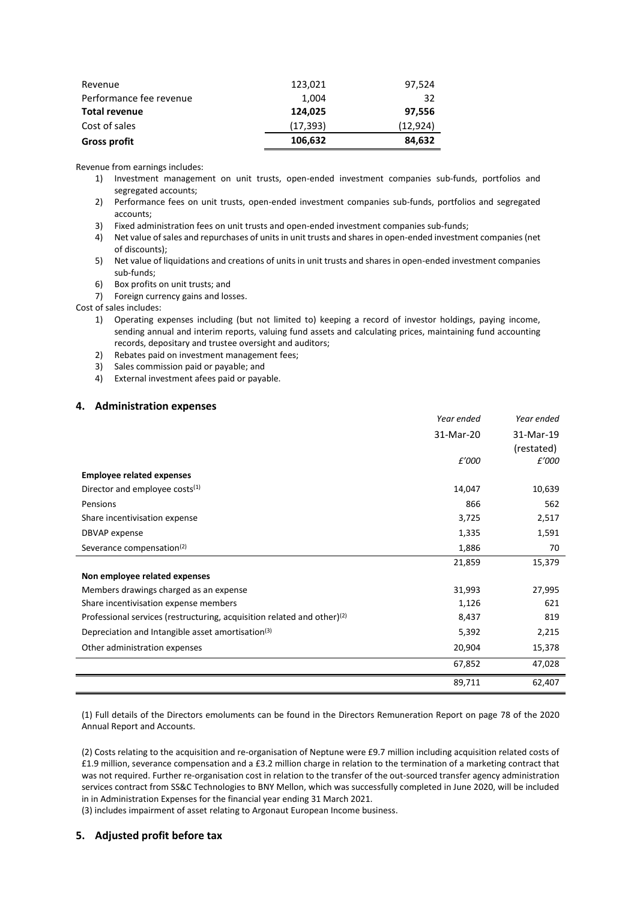| Revenue                 | 123,021   | 97,524    |
|-------------------------|-----------|-----------|
| Performance fee revenue | 1,004     | 32        |
| <b>Total revenue</b>    | 124,025   | 97,556    |
| Cost of sales           | (17, 393) | (12, 924) |
| <b>Gross profit</b>     | 106,632   | 84,632    |

Revenue from earnings includes:

- 1) Investment management on unit trusts, open-ended investment companies sub-funds, portfolios and segregated accounts;
- 2) Performance fees on unit trusts, open-ended investment companies sub-funds, portfolios and segregated accounts;
- 3) Fixed administration fees on unit trusts and open-ended investment companies sub-funds;
- 4) Net value of sales and repurchases of units in unit trusts and shares in open-ended investment companies (net of discounts);
- 5) Net value of liquidations and creations of units in unit trusts and shares in open-ended investment companies sub-funds;
- 6) Box profits on unit trusts; and
- 7) Foreign currency gains and losses.

Cost of sales includes:

- 1) Operating expenses including (but not limited to) keeping a record of investor holdings, paying income, sending annual and interim reports, valuing fund assets and calculating prices, maintaining fund accounting records, depositary and trustee oversight and auditors;
- 2) Rebates paid on investment management fees;
- 3) Sales commission paid or payable; and
- 4) External investment afees paid or payable.

### **4. Administration expenses**

|                                                                            | Year ended | Year ended |
|----------------------------------------------------------------------------|------------|------------|
|                                                                            | 31-Mar-20  | 31-Mar-19  |
|                                                                            |            | (restated) |
|                                                                            | £'000      | £'000      |
| <b>Employee related expenses</b>                                           |            |            |
| Director and employee costs <sup>(1)</sup>                                 | 14,047     | 10,639     |
| Pensions                                                                   | 866        | 562        |
| Share incentivisation expense                                              | 3,725      | 2,517      |
| DBVAP expense                                                              | 1,335      | 1,591      |
| Severance compensation <sup>(2)</sup>                                      | 1,886      | 70         |
|                                                                            | 21,859     | 15,379     |
| Non employee related expenses                                              |            |            |
| Members drawings charged as an expense                                     | 31,993     | 27,995     |
| Share incentivisation expense members                                      | 1,126      | 621        |
| Professional services (restructuring, acquisition related and other) $(2)$ | 8,437      | 819        |
| Depreciation and Intangible asset amortisation <sup>(3)</sup>              | 5,392      | 2,215      |
| Other administration expenses                                              | 20,904     | 15,378     |
|                                                                            | 67,852     | 47,028     |
|                                                                            | 89,711     | 62,407     |

(1) Full details of the Directors emoluments can be found in the Directors Remuneration Report on page 78 of the 2020 Annual Report and Accounts.

(2) Costs relating to the acquisition and re-organisation of Neptune were £9.7 million including acquisition related costs of £1.9 million, severance compensation and a £3.2 million charge in relation to the termination of a marketing contract that was not required. Further re-organisation cost in relation to the transfer of the out-sourced transfer agency administration services contract from SS&C Technologies to BNY Mellon, which was successfully completed in June 2020, will be included in in Administration Expenses for the financial year ending 31 March 2021.

(3) includes impairment of asset relating to Argonaut European Income business.

### **5. Adjusted profit before tax**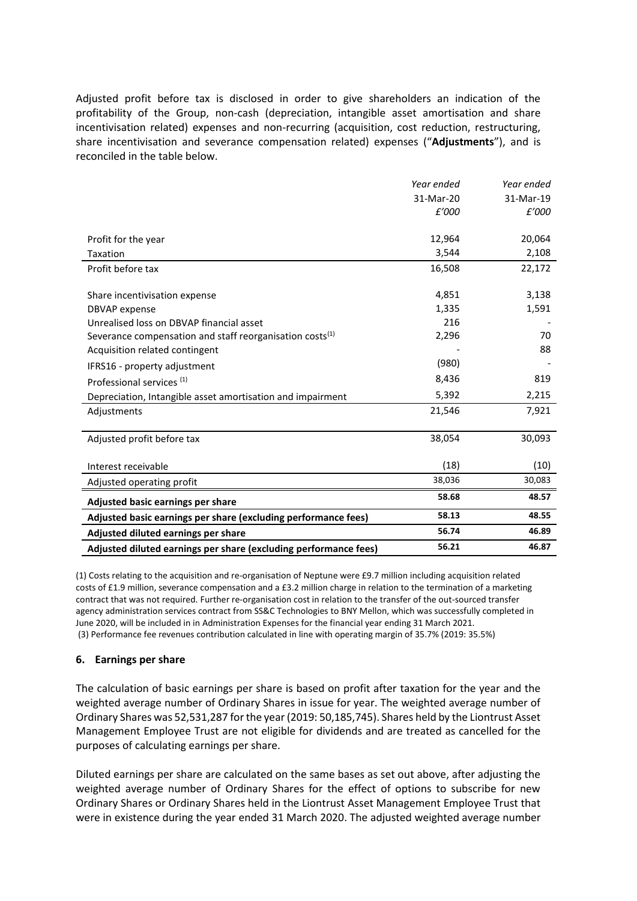Adjusted profit before tax is disclosed in order to give shareholders an indication of the profitability of the Group, non-cash (depreciation, intangible asset amortisation and share incentivisation related) expenses and non-recurring (acquisition, cost reduction, restructuring, share incentivisation and severance compensation related) expenses ("**Adjustments**"), and is reconciled in the table below.

|                                                                  | Year ended | Year ended |
|------------------------------------------------------------------|------------|------------|
|                                                                  | 31-Mar-20  | 31-Mar-19  |
|                                                                  | £'000      | £'000      |
|                                                                  |            |            |
| Profit for the year                                              | 12,964     | 20,064     |
| <b>Taxation</b>                                                  | 3,544      | 2,108      |
| Profit before tax                                                | 16,508     | 22,172     |
|                                                                  |            |            |
| Share incentivisation expense                                    | 4,851      | 3,138      |
| <b>DBVAP</b> expense                                             | 1,335      | 1,591      |
| Unrealised loss on DBVAP financial asset                         | 216        |            |
| Severance compensation and staff reorganisation costs $^{(1)}$   | 2,296      | 70         |
| Acquisition related contingent                                   |            | 88         |
| IFRS16 - property adjustment                                     | (980)      |            |
| Professional services <sup>(1)</sup>                             | 8,436      | 819        |
| Depreciation, Intangible asset amortisation and impairment       | 5,392      | 2,215      |
| Adjustments                                                      | 21,546     | 7,921      |
|                                                                  |            |            |
| Adjusted profit before tax                                       | 38,054     | 30,093     |
|                                                                  |            |            |
| Interest receivable                                              | (18)       | (10)       |
| Adjusted operating profit                                        | 38,036     | 30,083     |
| Adjusted basic earnings per share                                | 58.68      | 48.57      |
| Adjusted basic earnings per share (excluding performance fees)   | 58.13      | 48.55      |
| Adjusted diluted earnings per share                              | 56.74      | 46.89      |
| Adjusted diluted earnings per share (excluding performance fees) | 56.21      | 46.87      |

(1) Costs relating to the acquisition and re-organisation of Neptune were £9.7 million including acquisition related costs of £1.9 million, severance compensation and a £3.2 million charge in relation to the termination of a marketing contract that was not required. Further re-organisation cost in relation to the transfer of the out-sourced transfer agency administration services contract from SS&C Technologies to BNY Mellon, which was successfully completed in June 2020, will be included in in Administration Expenses for the financial year ending 31 March 2021. (3) Performance fee revenues contribution calculated in line with operating margin of 35.7% (2019: 35.5%)

## **6. Earnings per share**

The calculation of basic earnings per share is based on profit after taxation for the year and the weighted average number of Ordinary Shares in issue for year. The weighted average number of Ordinary Shares was 52,531,287 for the year (2019: 50,185,745). Shares held by the Liontrust Asset Management Employee Trust are not eligible for dividends and are treated as cancelled for the purposes of calculating earnings per share.

Diluted earnings per share are calculated on the same bases as set out above, after adjusting the weighted average number of Ordinary Shares for the effect of options to subscribe for new Ordinary Shares or Ordinary Shares held in the Liontrust Asset Management Employee Trust that were in existence during the year ended 31 March 2020. The adjusted weighted average number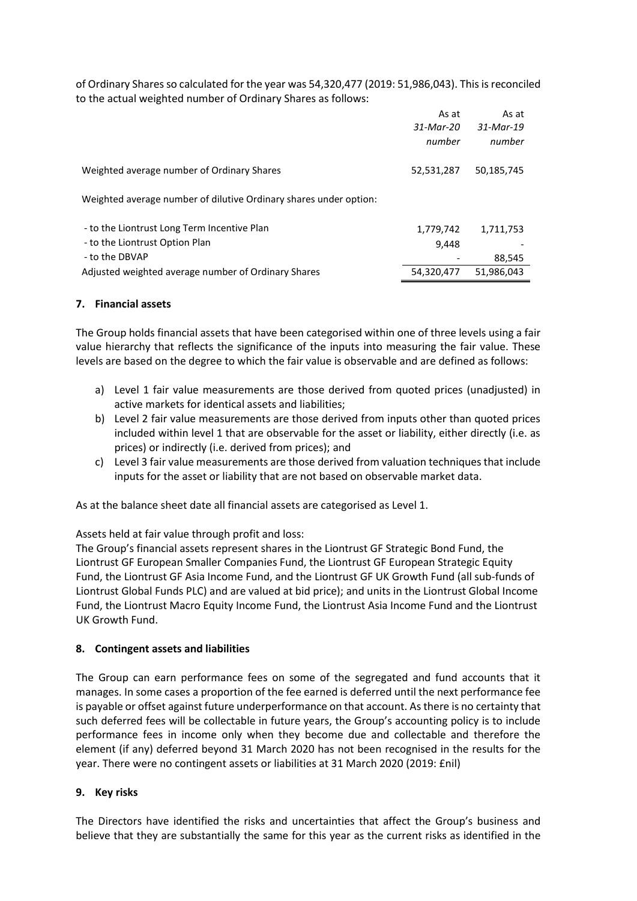of Ordinary Shares so calculated for the year was 54,320,477 (2019: 51,986,043). This is reconciled to the actual weighted number of Ordinary Shares as follows:

|                                                                                                 | As at<br>31-Mar-20<br>number | As at<br>31-Mar-19<br>number |
|-------------------------------------------------------------------------------------------------|------------------------------|------------------------------|
| Weighted average number of Ordinary Shares                                                      | 52,531,287                   | 50,185,745                   |
| Weighted average number of dilutive Ordinary shares under option:                               |                              |                              |
| - to the Liontrust Long Term Incentive Plan<br>- to the Liontrust Option Plan<br>- to the DBVAP | 1,779,742<br>9,448           | 1,711,753<br>88,545          |
| Adjusted weighted average number of Ordinary Shares                                             | 54,320,477                   | 51,986,043                   |

## **7. Financial assets**

The Group holds financial assets that have been categorised within one of three levels using a fair value hierarchy that reflects the significance of the inputs into measuring the fair value. These levels are based on the degree to which the fair value is observable and are defined as follows:

- a) Level 1 fair value measurements are those derived from quoted prices (unadjusted) in active markets for identical assets and liabilities;
- b) Level 2 fair value measurements are those derived from inputs other than quoted prices included within level 1 that are observable for the asset or liability, either directly (i.e. as prices) or indirectly (i.e. derived from prices); and
- c) Level 3 fair value measurements are those derived from valuation techniques that include inputs for the asset or liability that are not based on observable market data.

As at the balance sheet date all financial assets are categorised as Level 1.

Assets held at fair value through profit and loss:

The Group's financial assets represent shares in the Liontrust GF Strategic Bond Fund, the Liontrust GF European Smaller Companies Fund, the Liontrust GF European Strategic Equity Fund, the Liontrust GF Asia Income Fund, and the Liontrust GF UK Growth Fund (all sub-funds of Liontrust Global Funds PLC) and are valued at bid price); and units in the Liontrust Global Income Fund, the Liontrust Macro Equity Income Fund, the Liontrust Asia Income Fund and the Liontrust UK Growth Fund.

## **8. Contingent assets and liabilities**

The Group can earn performance fees on some of the segregated and fund accounts that it manages. In some cases a proportion of the fee earned is deferred until the next performance fee is payable or offset against future underperformance on that account. As there is no certainty that such deferred fees will be collectable in future years, the Group's accounting policy is to include performance fees in income only when they become due and collectable and therefore the element (if any) deferred beyond 31 March 2020 has not been recognised in the results for the year. There were no contingent assets or liabilities at 31 March 2020 (2019: £nil)

## **9. Key risks**

The Directors have identified the risks and uncertainties that affect the Group's business and believe that they are substantially the same for this year as the current risks as identified in the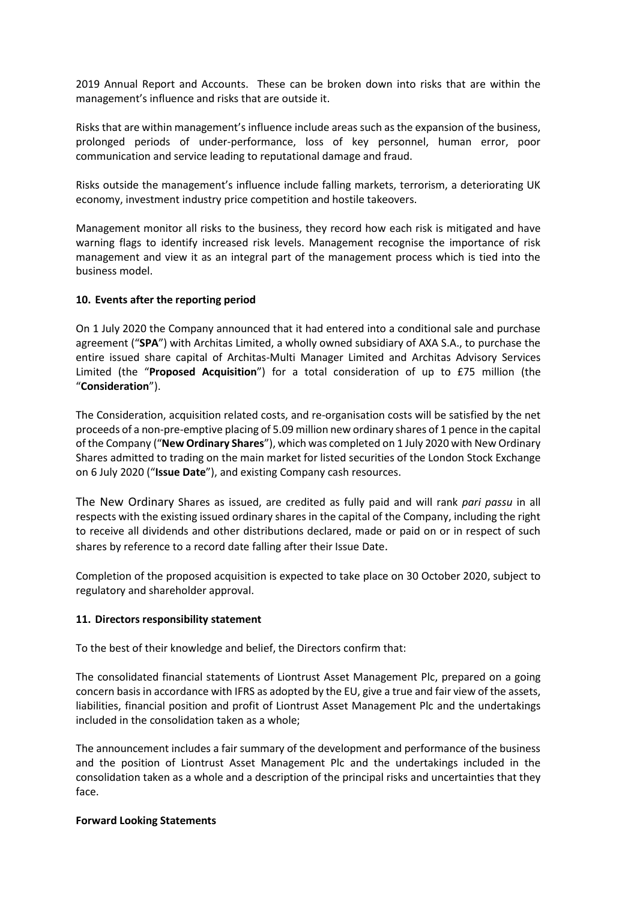2019 Annual Report and Accounts. These can be broken down into risks that are within the management's influence and risks that are outside it.

Risks that are within management's influence include areas such as the expansion of the business, prolonged periods of under-performance, loss of key personnel, human error, poor communication and service leading to reputational damage and fraud.

Risks outside the management's influence include falling markets, terrorism, a deteriorating UK economy, investment industry price competition and hostile takeovers.

Management monitor all risks to the business, they record how each risk is mitigated and have warning flags to identify increased risk levels. Management recognise the importance of risk management and view it as an integral part of the management process which is tied into the business model.

## **10. Events after the reporting period**

On 1 July 2020 the Company announced that it had entered into a conditional sale and purchase agreement ("**SPA**") with Architas Limited, a wholly owned subsidiary of AXA S.A., to purchase the entire issued share capital of Architas-Multi Manager Limited and Architas Advisory Services Limited (the "**Proposed Acquisition**") for a total consideration of up to £75 million (the "**Consideration**").

The Consideration, acquisition related costs, and re-organisation costs will be satisfied by the net proceeds of a non-pre-emptive placing of 5.09 million new ordinary shares of 1 pence in the capital of the Company ("**New Ordinary Shares**"), which was completed on 1 July 2020 with New Ordinary Shares admitted to trading on the main market for listed securities of the London Stock Exchange on 6 July 2020 ("**Issue Date**"), and existing Company cash resources.

The New Ordinary Shares as issued, are credited as fully paid and will rank *pari passu* in all respects with the existing issued ordinary shares in the capital of the Company, including the right to receive all dividends and other distributions declared, made or paid on or in respect of such shares by reference to a record date falling after their Issue Date.

Completion of the proposed acquisition is expected to take place on 30 October 2020, subject to regulatory and shareholder approval.

### **11. Directors responsibility statement**

To the best of their knowledge and belief, the Directors confirm that:

The consolidated financial statements of Liontrust Asset Management Plc, prepared on a going concern basisin accordance with IFRS as adopted by the EU, give a true and fair view of the assets, liabilities, financial position and profit of Liontrust Asset Management Plc and the undertakings included in the consolidation taken as a whole;

The announcement includes a fair summary of the development and performance of the business and the position of Liontrust Asset Management Plc and the undertakings included in the consolidation taken as a whole and a description of the principal risks and uncertainties that they face.

### **Forward Looking Statements**